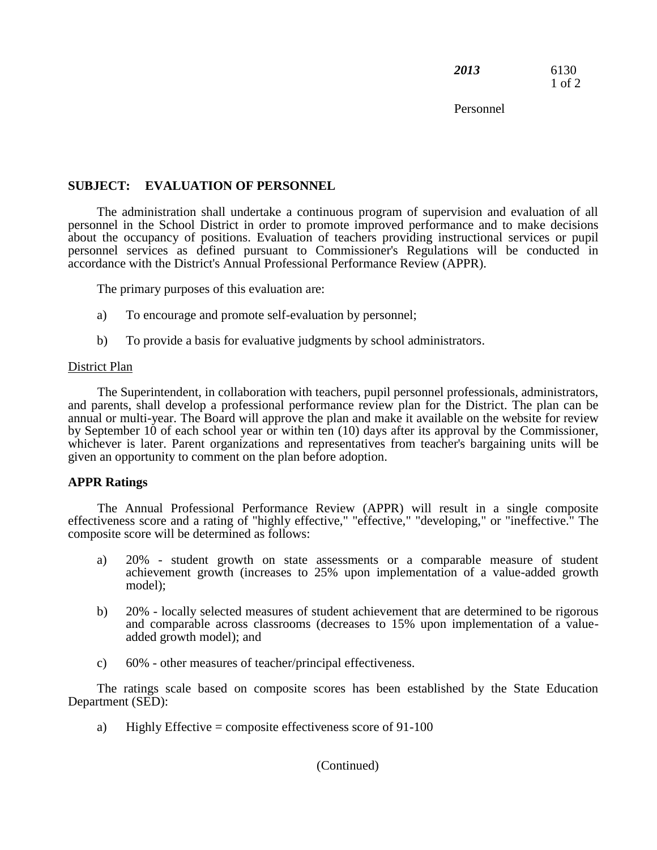*2013* 6130 1 of 2

Personnel

## **SUBJECT: EVALUATION OF PERSONNEL**

The administration shall undertake a continuous program of supervision and evaluation of all personnel in the School District in order to promote improved performance and to make decisions about the occupancy of positions. Evaluation of teachers providing instructional services or pupil personnel services as defined pursuant to Commissioner's Regulations will be conducted in accordance with the District's Annual Professional Performance Review (APPR).

The primary purposes of this evaluation are:

- a) To encourage and promote self-evaluation by personnel;
- b) To provide a basis for evaluative judgments by school administrators.

## District Plan

The Superintendent, in collaboration with teachers, pupil personnel professionals, administrators, and parents, shall develop a professional performance review plan for the District. The plan can be annual or multi-year. The Board will approve the plan and make it available on the website for review by September 10 of each school year or within ten (10) days after its approval by the Commissioner, whichever is later. Parent organizations and representatives from teacher's bargaining units will be given an opportunity to comment on the plan before adoption.

## **APPR Ratings**

The Annual Professional Performance Review (APPR) will result in a single composite effectiveness score and a rating of "highly effective," "effective," "developing," or "ineffective." The composite score will be determined as follows:

- a) 20% student growth on state assessments or a comparable measure of student achievement growth (increases to 25% upon implementation of a value-added growth model);
- b) 20% locally selected measures of student achievement that are determined to be rigorous and comparable across classrooms (decreases to 15% upon implementation of a valueadded growth model); and
- c) 60% other measures of teacher/principal effectiveness.

The ratings scale based on composite scores has been established by the State Education Department (SED):

a) Highly Effective = composite effectiveness score of  $91-100$ 

(Continued)